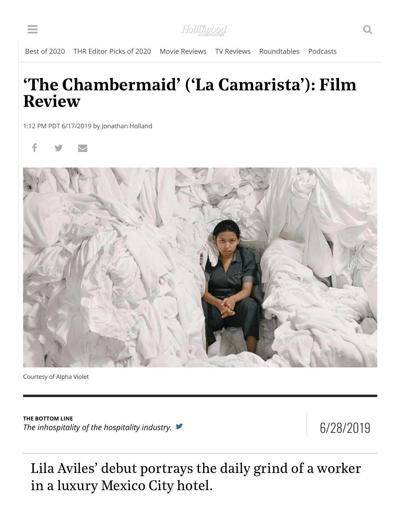Hollifupood

## 'The Chambermaid' ('La Camarista'): Film Review

1:12 PM PDT 6/17/2019 by Jonathan Holland





Courtesy of Alpha Violet

**THE BOTTOM LINE** The inhospitality of the hospitality industry.  $\blacksquare$ 

Lila Aviles' debut portrays the daily grind of a worker in a luxury Mexico City hotel.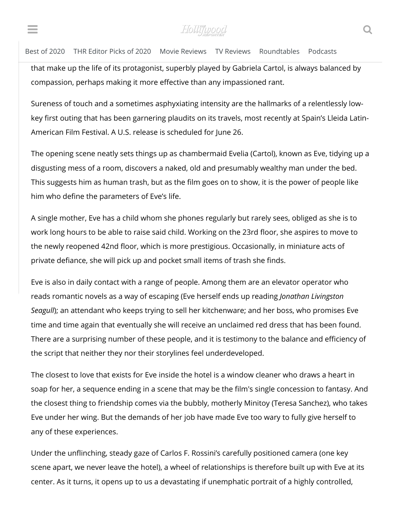$I_n = \frac{1}{\sqrt{2\pi}} \sum_{i=1}^n \frac{1}{\sqrt{2\pi}} \frac{1}{\sqrt{2\pi}}$ FIOLLITUDOOC

## Best of 2020 THR Editor Picks of 2020 Movie Reviews TV Reviews Roundtables Podcasts

that make up the life of its protagonist, superbly played by Gabriela Cartol, is always balanced by compassion, perhaps making it more effective than any impassioned rant.

Sureness of touch and a sometimes asphyxiating intensity are the hallmarks of a relentlessly lowkey first outing that has been garnering plaudits on its travels, most recently at Spain's Lleida Latin-American Film Festival. A U.S. release is scheduled for June 26.

The opening scene neatly sets things up as chambermaid Evelia (Cartol), known as Eve, tidying up a disgusting mess of a room, discovers a naked, old and presumably wealthy man under the bed. This suggests him as human trash, but as the film goes on to show, it is the power of people like him who define the parameters of Eve's life.

A single mother, Eve has a child whom she phones regularly but rarely sees, obliged as she is to work long hours to be able to raise said child. Working on the 23rd floor, she aspires to move to the newly reopened 42nd floor, which is more prestigious. Occasionally, in miniature acts of private defiance, she will pick up and pocket small items of trash she finds.

Eve is also in daily contact with a range of people. Among them are an elevator operator who reads romantic novels as a way of escaping (Eve herself ends up reading *Jonathan Livingston Seagull*); an attendant who keeps trying to sell her kitchenware; and her boss, who promises Eve time and time again that eventually she will receive an unclaimed red dress that has been found. There are a surprising number of these people, and it is testimony to the balance and efficiency of the script that neither they nor their storylines feel underdeveloped.

The closest to love that exists for Eve inside the hotel is a window cleaner who draws a heart in soap for her, a sequence ending in a scene that may be the film's single concession to fantasy. And the closest thing to friendship comes via the bubbly, motherly Minitoy (Teresa Sanchez), who takes Eve under her wing. But the demands of her job have made Eve too wary to fully give herself to any of these experiences.

Under the unflinching, steady gaze of Carlos F. Rossini's carefully positioned camera (one key scene apart, we never leave the hotel), a wheel of relationships is therefore built up with Eve at its center. As it turns, it opens up to us a devastating if unemphatic portrait of a highly controlled,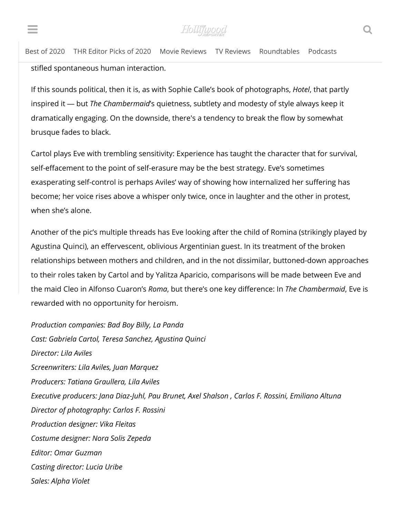$\sum_{i=1}^{\infty} \int_{\mathcal{C}} \int_{\mathcal{C}} \int_{\mathcal{C}} \int_{\mathcal{C}} \int_{\mathcal{C}} \int_{\mathcal{C}} \int_{\mathcal{C}} \int_{\mathcal{C}} \int_{\mathcal{C}} \int_{\mathcal{C}} \int_{\mathcal{C}} \int_{\mathcal{C}} \int_{\mathcal{C}} \int_{\mathcal{C}} \int_{\mathcal{C}} \int_{\mathcal{C}} \int_{\mathcal{C}} \int_{\mathcal{C}} \int_{\mathcal{C}} \int_{\mathcal{C}} \int_{\mathcal{C}} \int_{\mathcal{C}} \int_{\mathcal{C}} \$  $\blacksquare$  . The contract of the contract of the contract of the contract of the contract of the contract of the contract of the contract of the contract of the contract of the contract of the contract of the contract of the

Best of 2020 THR Editor Picks of 2020 Movie Reviews TV Reviews Roundtables Podcasts stifled spontaneous human interaction.

If this sounds political, then it is, as with Sophie Calle's book of photographs, *Hotel*, that partly inspired it — but *The Chambermaid*'s quietness, subtlety and modesty of style always keep it dramatically engaging. On the downside, there's a tendency to break the flow by somewhat brusque fades to black.

Cartol plays Eve with trembling sensitivity: Experience has taught the character that for survival, self-effacement to the point of self-erasure may be the best strategy. Eve's sometimes exasperating self-control is perhaps Aviles' way of showing how internalized her suffering has become; her voice rises above a whisper only twice, once in laughter and the other in protest, when she's alone.

Another of the pic's multiple threads has Eve looking after the child of Romina (strikingly played by Agustina Quinci), an effervescent, oblivious Argentinian guest. In its treatment of the broken relationships between mothers and children, and in the not dissimilar, buttoned-down approaches to their roles taken by Cartol and by Yalitza Aparicio, comparisons will be made between Eve and the maid Cleo in Alfonso Cuaron's *Roma*, but there's one key difference: In *The Chambermaid*, Eve is rewarded with no opportunity for heroism.

*Production companies: Bad Boy Billy, La Panda Cast: Gabriela Cartol, Teresa Sanchez, Agustina Quinci Director: Lila Aviles Screenwriters: Lila Aviles, Juan Marquez Producers: Tatiana Graullera, Lila Aviles Executive producers: Jana Diaz-Juhl, Pau Brunet, Axel Shalson , Carlos F. Rossini, Emiliano Altuna Director of photography: Carlos F. Rossini Production designer: Vika Fleitas Costume designer: Nora Solis Zepeda Editor: Omar Guzman Casting director: Lucia Uribe Sales: Alpha Violet*